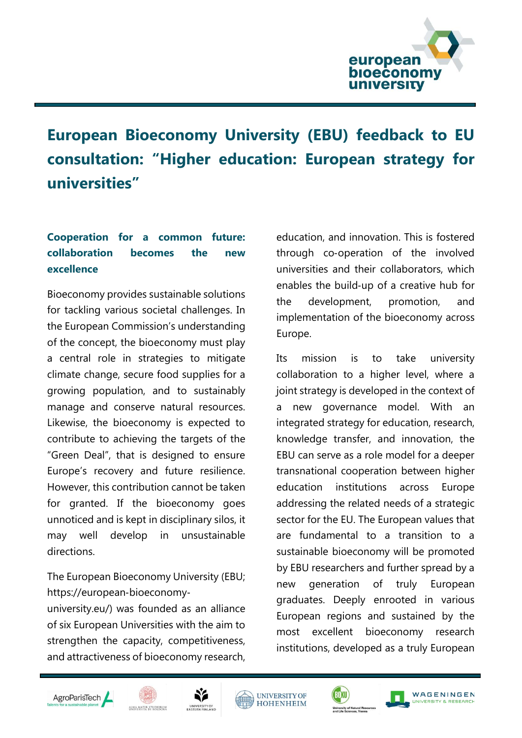

## **European Bioeconomy University (EBU) feedback to EU consultation: "Higher education: European strategy for universities"**

## **Cooperation for a common future: collaboration becomes the new excellence**

Bioeconomy provides sustainable solutions for tackling various societal challenges. In the European Commission's understanding of the concept, the bioeconomy must play a central role in strategies to mitigate climate change, secure food supplies for a growing population, and to sustainably manage and conserve natural resources. Likewise, the bioeconomy is expected to contribute to achieving the targets of the "Green Deal", that is designed to ensure Europe's recovery and future resilience. However, this contribution cannot be taken for granted. If the bioeconomy goes unnoticed and is kept in disciplinary silos, it may well develop in unsustainable directions.

The European Bioeconomy University (EBU; https://european‐bioeconomy‐

university.eu/) was founded as an alliance of six European Universities with the aim to strengthen the capacity, competitiveness, and attractiveness of bioeconomy research,

education, and innovation. This is fostered through co‐operation of the involved universities and their collaborators, which enables the build‐up of a creative hub for the development, promotion, and implementation of the bioeconomy across Europe.

Its mission is to take university collaboration to a higher level, where a joint strategy is developed in the context of a new governance model. With an integrated strategy for education, research, knowledge transfer, and innovation, the EBU can serve as a role model for a deeper transnational cooperation between higher education institutions across Europe addressing the related needs of a strategic sector for the EU. The European values that are fundamental to a transition to a sustainable bioeconomy will be promoted by EBU researchers and further spread by a new generation of truly European graduates. Deeply enrooted in various European regions and sustained by the most excellent bioeconomy research institutions, developed as a truly European